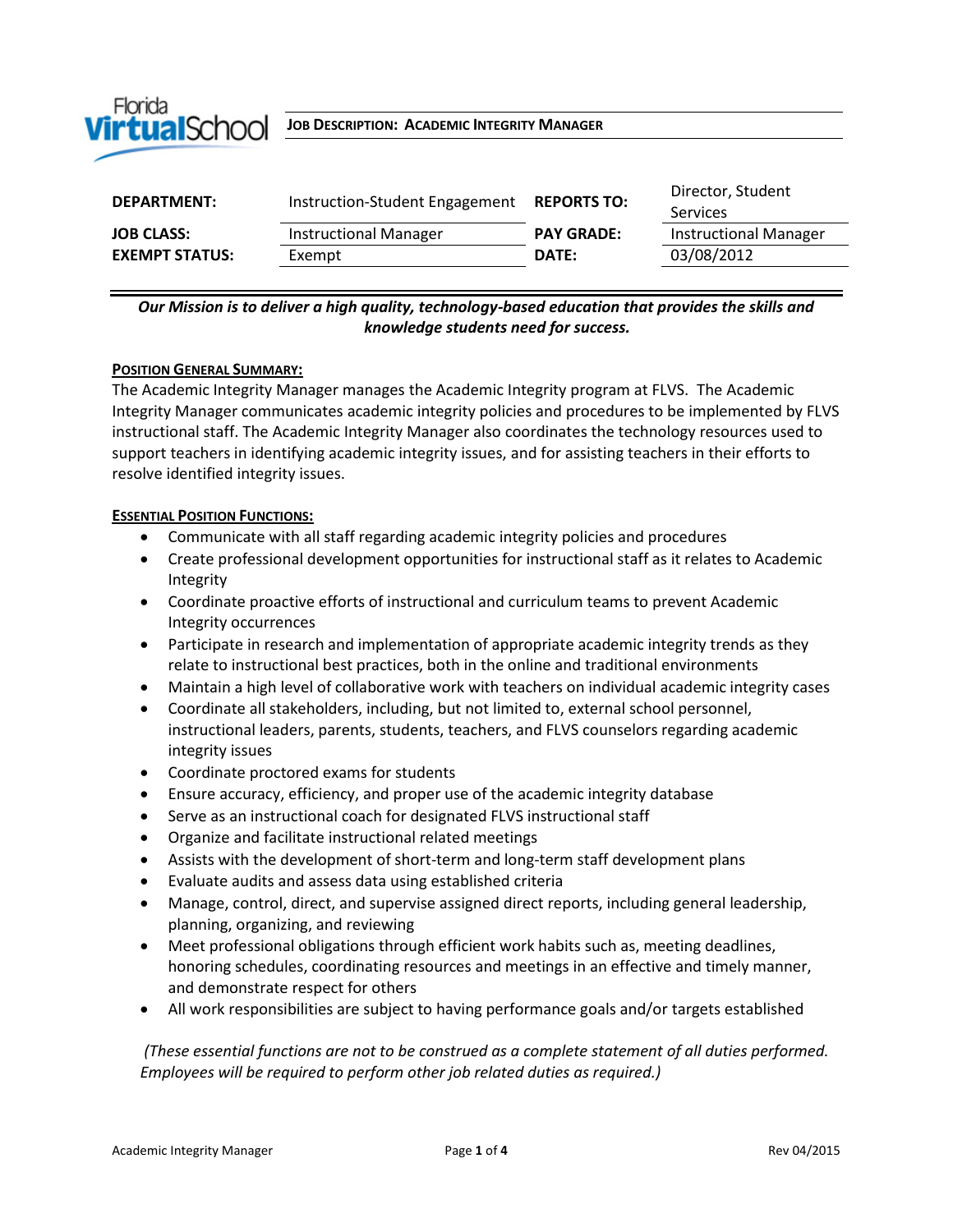

# $\text{ViftualSChool}$  JOB DESCRIPTION: ACADEMIC **I**NTEGRITY MANAGER

| DEPARTMENT:           | Instruction-Student Engagement REPORTS TO: |                   | Director, Student<br><b>Services</b> |
|-----------------------|--------------------------------------------|-------------------|--------------------------------------|
| <b>JOB CLASS:</b>     | <b>Instructional Manager</b>               | <b>PAY GRADE:</b> | <b>Instructional Manager</b>         |
| <b>EXEMPT STATUS:</b> | Exempt                                     | DATE:             | 03/08/2012                           |
|                       |                                            |                   |                                      |

# *Our Mission is to deliver a high quality, technology-based education that provides the skills and knowledge students need for success.*

#### **POSITION GENERAL SUMMARY:**

The Academic Integrity Manager manages the Academic Integrity program at FLVS. The Academic Integrity Manager communicates academic integrity policies and procedures to be implemented by FLVS instructional staff. The Academic Integrity Manager also coordinates the technology resources used to support teachers in identifying academic integrity issues, and for assisting teachers in their efforts to resolve identified integrity issues.

#### **ESSENTIAL POSITION FUNCTIONS:**

- Communicate with all staff regarding academic integrity policies and procedures
- Create professional development opportunities for instructional staff as it relates to Academic Integrity
- Coordinate proactive efforts of instructional and curriculum teams to prevent Academic Integrity occurrences
- Participate in research and implementation of appropriate academic integrity trends as they relate to instructional best practices, both in the online and traditional environments
- Maintain a high level of collaborative work with teachers on individual academic integrity cases
- Coordinate all stakeholders, including, but not limited to, external school personnel, instructional leaders, parents, students, teachers, and FLVS counselors regarding academic integrity issues
- Coordinate proctored exams for students
- Ensure accuracy, efficiency, and proper use of the academic integrity database
- Serve as an instructional coach for designated FLVS instructional staff
- Organize and facilitate instructional related meetings
- Assists with the development of short-term and long-term staff development plans
- Evaluate audits and assess data using established criteria
- Manage, control, direct, and supervise assigned direct reports, including general leadership, planning, organizing, and reviewing
- Meet professional obligations through efficient work habits such as, meeting deadlines, honoring schedules, coordinating resources and meetings in an effective and timely manner, and demonstrate respect for others
- All work responsibilities are subject to having performance goals and/or targets established

*(These essential functions are not to be construed as a complete statement of all duties performed. Employees will be required to perform other job related duties as required.)*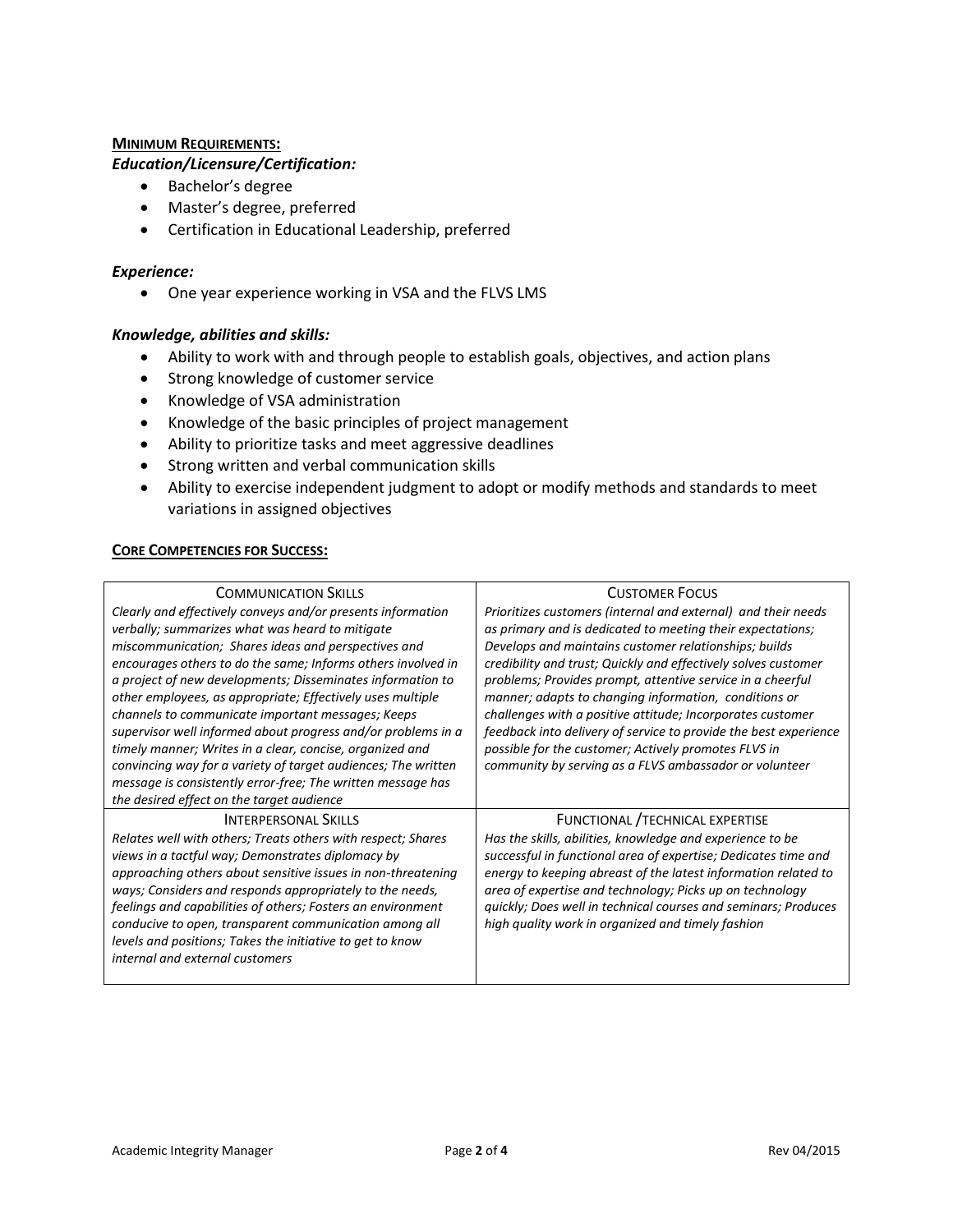### **MINIMUM REQUIREMENTS:**

## *Education/Licensure/Certification:*

- Bachelor's degree
- Master's degree, preferred
- Certification in Educational Leadership, preferred

### *Experience:*

One year experience working in VSA and the FLVS LMS

### *Knowledge, abilities and skills:*

- Ability to work with and through people to establish goals, objectives, and action plans
- Strong knowledge of customer service
- Knowledge of VSA administration
- Knowledge of the basic principles of project management
- Ability to prioritize tasks and meet aggressive deadlines
- Strong written and verbal communication skills
- Ability to exercise independent judgment to adopt or modify methods and standards to meet variations in assigned objectives

#### **CORE COMPETENCIES FOR SUCCESS:**

| <b>COMMUNICATION SKILLS</b>                                   | <b>CUSTOMER FOCUS</b>                                            |
|---------------------------------------------------------------|------------------------------------------------------------------|
| Clearly and effectively conveys and/or presents information   | Prioritizes customers (internal and external) and their needs    |
| verbally; summarizes what was heard to mitigate               | as primary and is dedicated to meeting their expectations;       |
| miscommunication; Shares ideas and perspectives and           | Develops and maintains customer relationships; builds            |
| encourages others to do the same; Informs others involved in  | credibility and trust; Quickly and effectively solves customer   |
| a project of new developments; Disseminates information to    | problems; Provides prompt, attentive service in a cheerful       |
| other employees, as appropriate; Effectively uses multiple    | manner; adapts to changing information, conditions or            |
| channels to communicate important messages; Keeps             | challenges with a positive attitude; Incorporates customer       |
| supervisor well informed about progress and/or problems in a  | feedback into delivery of service to provide the best experience |
| timely manner; Writes in a clear, concise, organized and      | possible for the customer; Actively promotes FLVS in             |
| convincing way for a variety of target audiences; The written | community by serving as a FLVS ambassador or volunteer           |
| message is consistently error-free; The written message has   |                                                                  |
| the desired effect on the target audience                     |                                                                  |
| <b>INTERPERSONAL SKILLS</b>                                   | FUNCTIONAL / TECHNICAL EXPERTISE                                 |
| Relates well with others; Treats others with respect; Shares  | Has the skills, abilities, knowledge and experience to be        |
| views in a tactful way; Demonstrates diplomacy by             | successful in functional area of expertise; Dedicates time and   |
| approaching others about sensitive issues in non-threatening  | energy to keeping abreast of the latest information related to   |
| ways; Considers and responds appropriately to the needs,      | area of expertise and technology; Picks up on technology         |
| feelings and capabilities of others; Fosters an environment   | quickly; Does well in technical courses and seminars; Produces   |
| conducive to open, transparent communication among all        | high quality work in organized and timely fashion                |
| levels and positions; Takes the initiative to get to know     |                                                                  |
| internal and external customers                               |                                                                  |
|                                                               |                                                                  |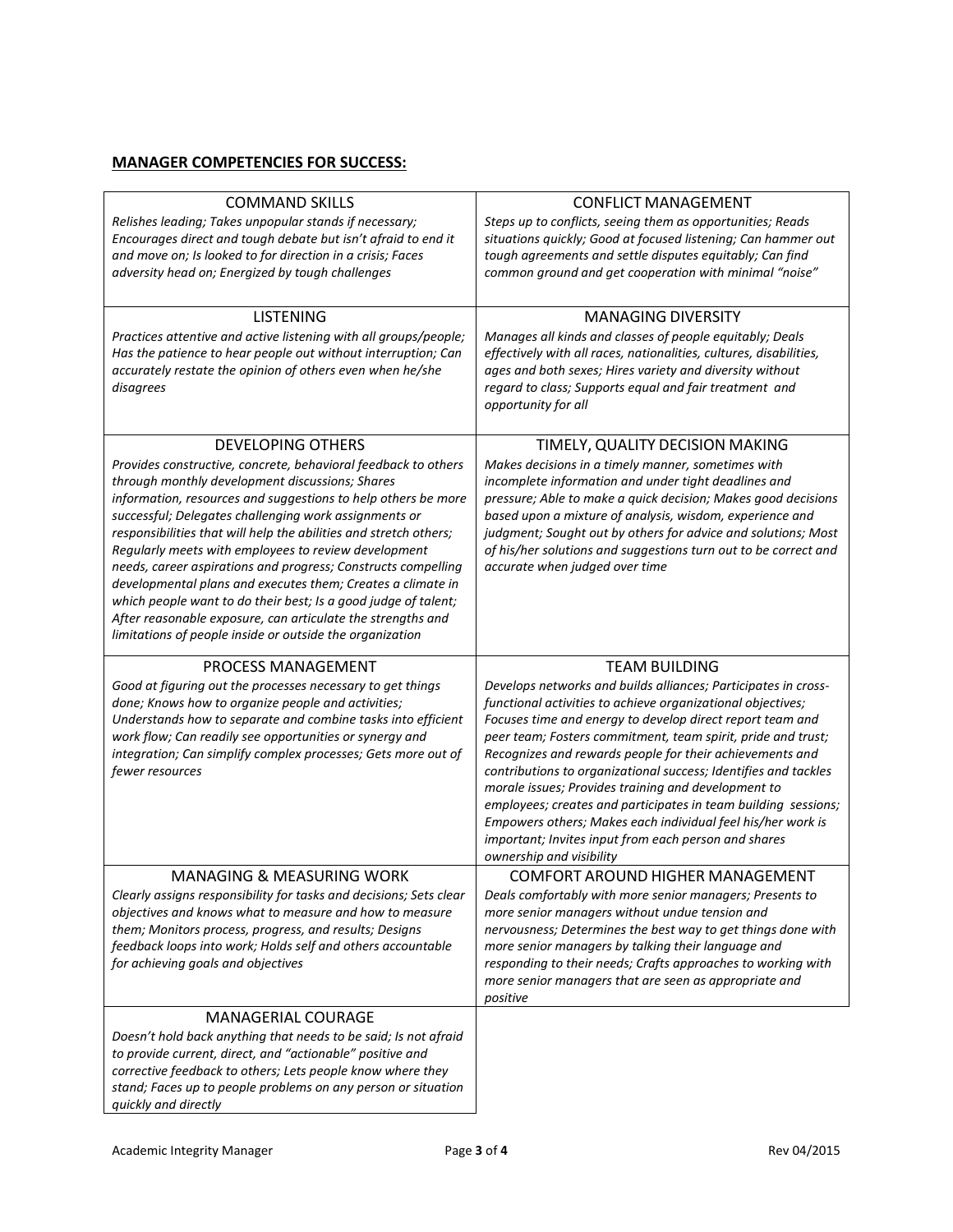# **MANAGER COMPETENCIES FOR SUCCESS:**

| <b>COMMAND SKILLS</b><br>Relishes leading; Takes unpopular stands if necessary;<br>Encourages direct and tough debate but isn't afraid to end it<br>and move on; Is looked to for direction in a crisis; Faces<br>adversity head on; Energized by tough challenges                                                                                                                                                                                                                                                                                                                                                                                                                                                                | <b>CONFLICT MANAGEMENT</b><br>Steps up to conflicts, seeing them as opportunities; Reads<br>situations quickly; Good at focused listening; Can hammer out<br>tough agreements and settle disputes equitably; Can find<br>common ground and get cooperation with minimal "noise"                                                                                                                                                                                                                                                                                                                                                                                       |
|-----------------------------------------------------------------------------------------------------------------------------------------------------------------------------------------------------------------------------------------------------------------------------------------------------------------------------------------------------------------------------------------------------------------------------------------------------------------------------------------------------------------------------------------------------------------------------------------------------------------------------------------------------------------------------------------------------------------------------------|-----------------------------------------------------------------------------------------------------------------------------------------------------------------------------------------------------------------------------------------------------------------------------------------------------------------------------------------------------------------------------------------------------------------------------------------------------------------------------------------------------------------------------------------------------------------------------------------------------------------------------------------------------------------------|
| <b>LISTENING</b><br>Practices attentive and active listening with all groups/people;<br>Has the patience to hear people out without interruption; Can<br>accurately restate the opinion of others even when he/she<br>disagrees                                                                                                                                                                                                                                                                                                                                                                                                                                                                                                   | <b>MANAGING DIVERSITY</b><br>Manages all kinds and classes of people equitably; Deals<br>effectively with all races, nationalities, cultures, disabilities,<br>ages and both sexes; Hires variety and diversity without<br>regard to class; Supports equal and fair treatment and<br>opportunity for all                                                                                                                                                                                                                                                                                                                                                              |
| <b>DEVELOPING OTHERS</b><br>Provides constructive, concrete, behavioral feedback to others<br>through monthly development discussions; Shares<br>information, resources and suggestions to help others be more<br>successful; Delegates challenging work assignments or<br>responsibilities that will help the abilities and stretch others;<br>Regularly meets with employees to review development<br>needs, career aspirations and progress; Constructs compelling<br>developmental plans and executes them; Creates a climate in<br>which people want to do their best; Is a good judge of talent;<br>After reasonable exposure, can articulate the strengths and<br>limitations of people inside or outside the organization | TIMELY, QUALITY DECISION MAKING<br>Makes decisions in a timely manner, sometimes with<br>incomplete information and under tight deadlines and<br>pressure; Able to make a quick decision; Makes good decisions<br>based upon a mixture of analysis, wisdom, experience and<br>judgment; Sought out by others for advice and solutions; Most<br>of his/her solutions and suggestions turn out to be correct and<br>accurate when judged over time                                                                                                                                                                                                                      |
| PROCESS MANAGEMENT<br>Good at figuring out the processes necessary to get things                                                                                                                                                                                                                                                                                                                                                                                                                                                                                                                                                                                                                                                  | <b>TEAM BUILDING</b>                                                                                                                                                                                                                                                                                                                                                                                                                                                                                                                                                                                                                                                  |
| done; Knows how to organize people and activities;<br>Understands how to separate and combine tasks into efficient<br>work flow; Can readily see opportunities or synergy and<br>integration; Can simplify complex processes; Gets more out of<br>fewer resources                                                                                                                                                                                                                                                                                                                                                                                                                                                                 | Develops networks and builds alliances; Participates in cross-<br>functional activities to achieve organizational objectives;<br>Focuses time and energy to develop direct report team and<br>peer team; Fosters commitment, team spirit, pride and trust;<br>Recognizes and rewards people for their achievements and<br>contributions to organizational success; Identifies and tackles<br>morale issues; Provides training and development to<br>employees; creates and participates in team building sessions;<br>Empowers others; Makes each individual feel his/her work is<br>important; Invites input from each person and shares<br>ownership and visibility |
| <b>MANAGING &amp; MEASURING WORK</b><br>Clearly assigns responsibility for tasks and decisions; Sets clear<br>objectives and knows what to measure and how to measure<br>them; Monitors process, progress, and results; Designs<br>feedback loops into work; Holds self and others accountable<br>for achieving goals and objectives                                                                                                                                                                                                                                                                                                                                                                                              | COMFORT AROUND HIGHER MANAGEMENT<br>Deals comfortably with more senior managers; Presents to<br>more senior managers without undue tension and<br>nervousness; Determines the best way to get things done with<br>more senior managers by talking their language and<br>responding to their needs; Crafts approaches to working with<br>more senior managers that are seen as appropriate and<br>positive                                                                                                                                                                                                                                                             |